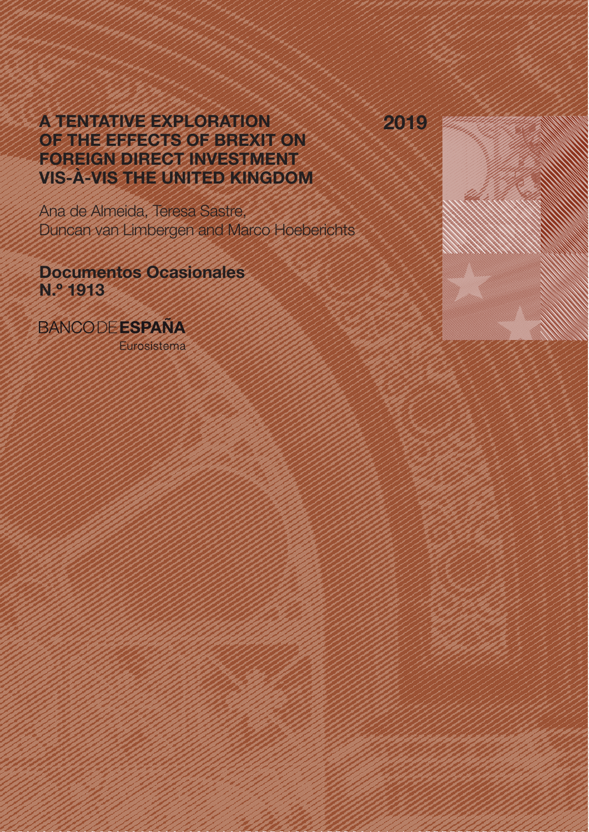2019

# A TENTATIVE EXPLORATION OF THE EFFECTS OF BREXIT ON FOREIGN DIRECT INVESTMENT VIS-À-VIS THE UNITED KINGDOM

Ana de Almeida, Teresa Sastre, Duncan van Limbergen and Marco Hoeberichts

Documentos Ocasionales N.º 1913

**BANCODE ESPAÑA** 

Eurosistema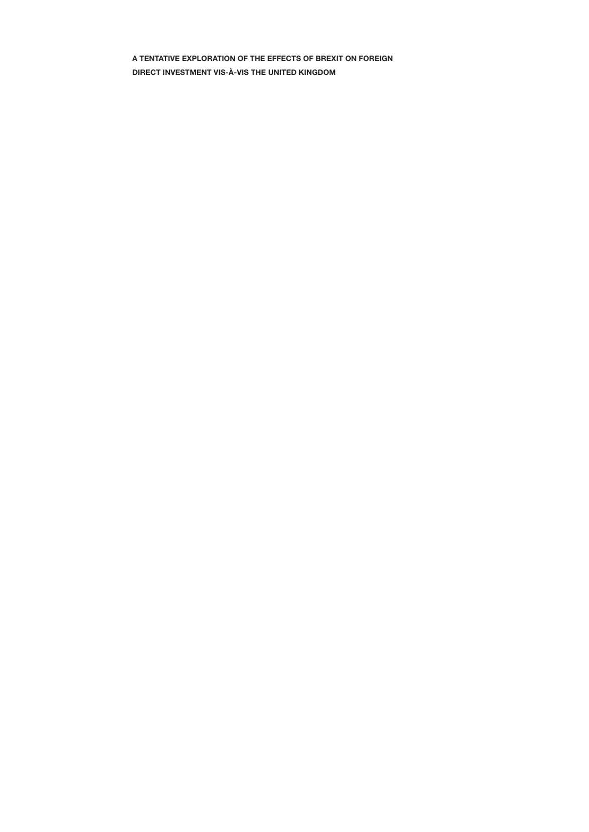A TENTATIVE EXPLORATION OF THE EFFECTS OF BREXIT ON FOREIGN DIRECT INVESTMENT VIS-À-VIS THE UNITED KINGDOM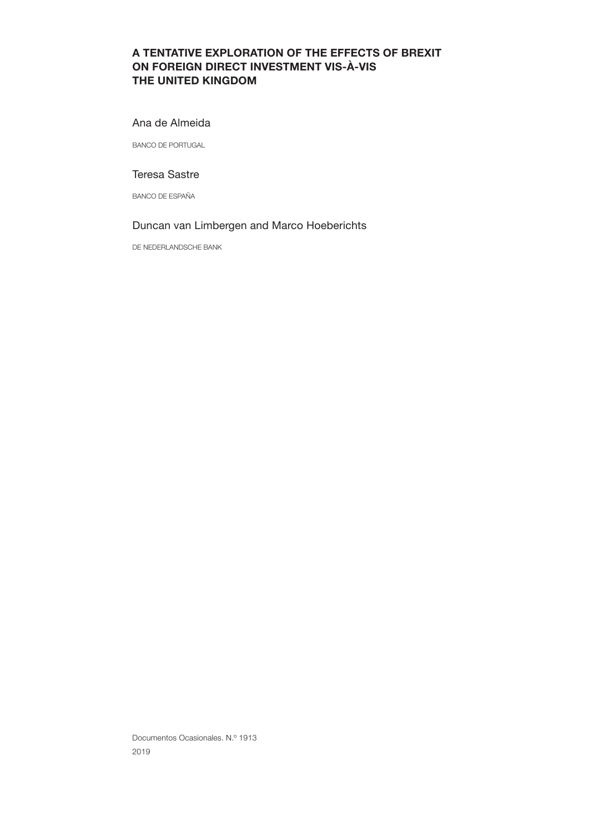# A TENTATIVE EXPLORATION OF THE EFFECTS OF BREXIT ON FOREIGN DIRECT INVESTMENT VIS-À-VIS THE UNITED KINGDOM

### Ana de Almeida

BANCO DE PORTUGAL

# Teresa Sastre

BANCO DE ESPAÑA

# Duncan van Limbergen and Marco Hoeberichts

DE NEDERLANDSCHE BANK

Documentos Ocasionales. N.º 1913 2019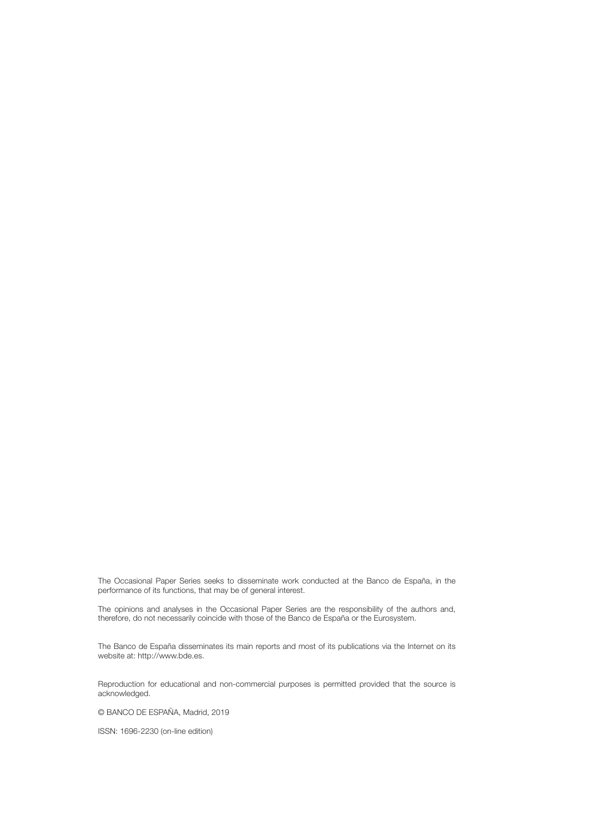The Occasional Paper Series seeks to disseminate work conducted at the Banco de España, in the performance of its functions, that may be of general interest.

The opinions and analyses in the Occasional Paper Series are the responsibility of the authors and, therefore, do not necessarily coincide with those of the Banco de España or the Eurosystem.

The Banco de España disseminates its main reports and most of its publications via the Internet on its website at: http://www.bde.es.

Reproduction for educational and non-commercial purposes is permitted provided that the source is acknowledged.

© BANCO DE ESPAÑA, Madrid, 2019

ISSN: 1696-2230 (on-line edition)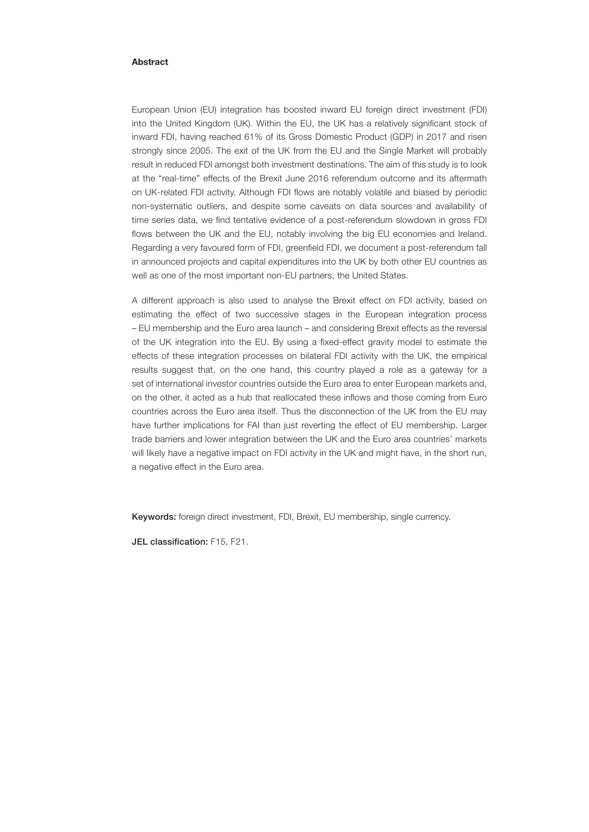### Abstract

European Union (EU) integration has boosted inward EU foreign direct investment (FDI) into the United Kingdom (UK). Within the EU, the UK has a relatively significant stock of inward FDI, having reached 61% of its Gross Domestic Product (GDP) in 2017 and risen strongly since 2005. The exit of the UK from the EU and the Single Market will probably result in reduced FDI amongst both investment destinations. The aim of this study is to look at the "real-time" effects of the Brexit June 2016 referendum outcome and its aftermath on UK-related FDI activity. Although FDI flows are notably volatile and biased by periodic non-systematic outliers, and despite some caveats on data sources and availability of time series data, we find tentative evidence of a post-referendum slowdown in gross FDI flows between the UK and the EU, notably involving the big EU economies and Ireland. Regarding a very favoured form of FDI, greenfield FDI, we document a post-referendum fall in announced projects and capital expenditures into the UK by both other EU countries as well as one of the most important non-EU partners, the United States.

A different approach is also used to analyse the Brexit effect on FDI activity, based on estimating the effect of two successive stages in the European integration process – EU membership and the Euro area launch – and considering Brexit effects as the reversal of the UK integration into the EU. By using a fixed-effect gravity model to estimate the effects of these integration processes on bilateral FDI activity with the UK, the empirical results suggest that, on the one hand, this country played a role as a gateway for a set of international investor countries outside the Euro area to enter European markets and, on the other, it acted as a hub that reallocated these inflows and those coming from Euro countries across the Euro area itself. Thus the disconnection of the UK from the EU may have further implications for FAI than just reverting the effect of EU membership. Larger trade barriers and lower integration between the UK and the Euro area countries' markets will likely have a negative impact on FDI activity in the UK and might have, in the short run, a negative effect in the Euro area.

Keywords: foreign direct investment, FDI, Brexit, EU membership, single currency.

JEL classification: F15, F21.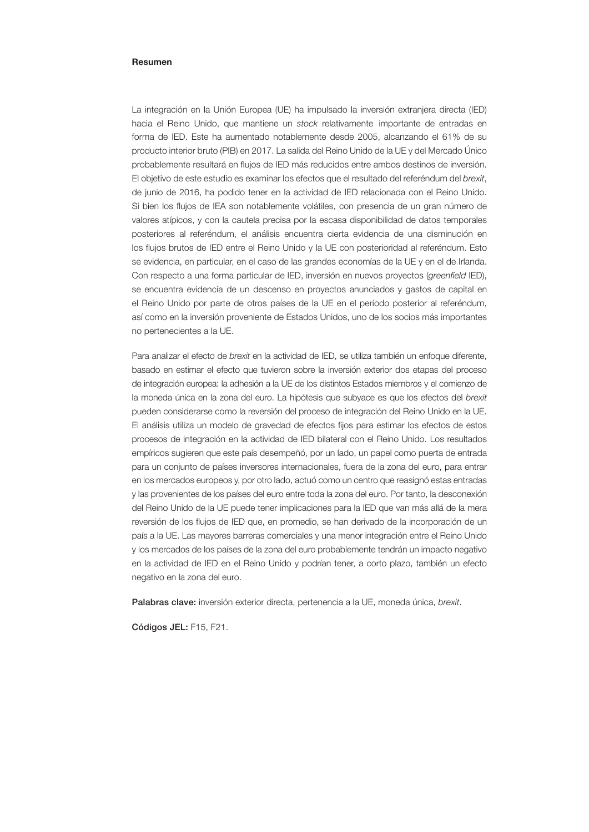### Resumen

La integración en la Unión Europea (UE) ha impulsado la inversión extranjera directa (IED) hacia el Reino Unido, que mantiene un *stock* relativamente importante de entradas en forma de IED. Este ha aumentado notablemente desde 2005, alcanzando el 61% de su producto interior bruto (PIB) en 2017. La salida del Reino Unido de la UE y del Mercado Único probablemente resultará en flujos de IED más reducidos entre ambos destinos de inversión. El objetivo de este estudio es examinar los efectos que el resultado del referéndum del *brexit*, de junio de 2016, ha podido tener en la actividad de IED relacionada con el Reino Unido. Si bien los flujos de IEA son notablemente volátiles, con presencia de un gran número de valores atípicos, y con la cautela precisa por la escasa disponibilidad de datos temporales posteriores al referéndum, el análisis encuentra cierta evidencia de una disminución en los flujos brutos de IED entre el Reino Unido y la UE con posterioridad al referéndum. Esto se evidencia, en particular, en el caso de las grandes economías de la UE y en el de Irlanda. Con respecto a una forma particular de IED, inversión en nuevos proyectos (greenfield IED), se encuentra evidencia de un descenso en proyectos anunciados y gastos de capital en el Reino Unido por parte de otros países de la UE en el período posterior al referéndum, así como en la inversión proveniente de Estados Unidos, uno de los socios más importantes no pertenecientes a la UE.

Para analizar el efecto de *brexit* en la actividad de IED, se utiliza también un enfoque diferente, basado en estimar el efecto que tuvieron sobre la inversión exterior dos etapas del proceso de integración europea: la adhesión a la UE de los distintos Estados miembros y el comienzo de la moneda única en la zona del euro. La hipótesis que subyace es que los efectos del *brexit* pueden considerarse como la reversión del proceso de integración del Reino Unido en la UE. El análisis utiliza un modelo de gravedad de efectos fijos para estimar los efectos de estos procesos de integración en la actividad de IED bilateral con el Reino Unido. Los resultados empíricos sugieren que este país desempeñó, por un lado, un papel como puerta de entrada para un conjunto de países inversores internacionales, fuera de la zona del euro, para entrar en los mercados europeos y, por otro lado, actuó como un centro que reasignó estas entradas y las provenientes de los países del euro entre toda la zona del euro. Por tanto, la desconexión del Reino Unido de la UE puede tener implicaciones para la IED que van más allá de la mera reversión de los flujos de IED que, en promedio, se han derivado de la incorporación de un país a la UE. Las mayores barreras comerciales y una menor integración entre el Reino Unido y los mercados de los países de la zona del euro probablemente tendrán un impacto negativo en la actividad de IED en el Reino Unido y podrían tener, a corto plazo, también un efecto negativo en la zona del euro.

Palabras clave: inversión exterior directa, pertenencia a la UE, moneda única, *brexit*.

Códigos JEL: F15, F21.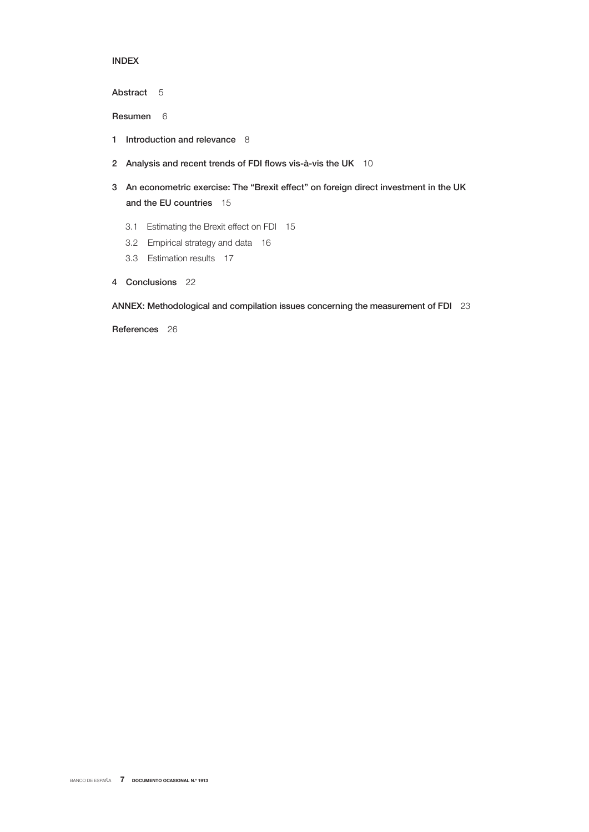# INDEX

Abstract 5

Resumen 6

- 1 Introduction and relevance 8
- 2 Analysis and recent trends of FDI flows vis-à-vis the UK 10
- 3 An econometric exercise: The "Brexit effect" on foreign direct investment in the UK and the EU countries 15
	- 3.1 Estimating the Brexit effect on FDI 15
	- 3.2 Empirical strategy and data 16
	- 3.3 Estimation results 17
- 4 Conclusions 22

ANNEX: Methodological and compilation issues concerning the measurement of FDI 23

References 26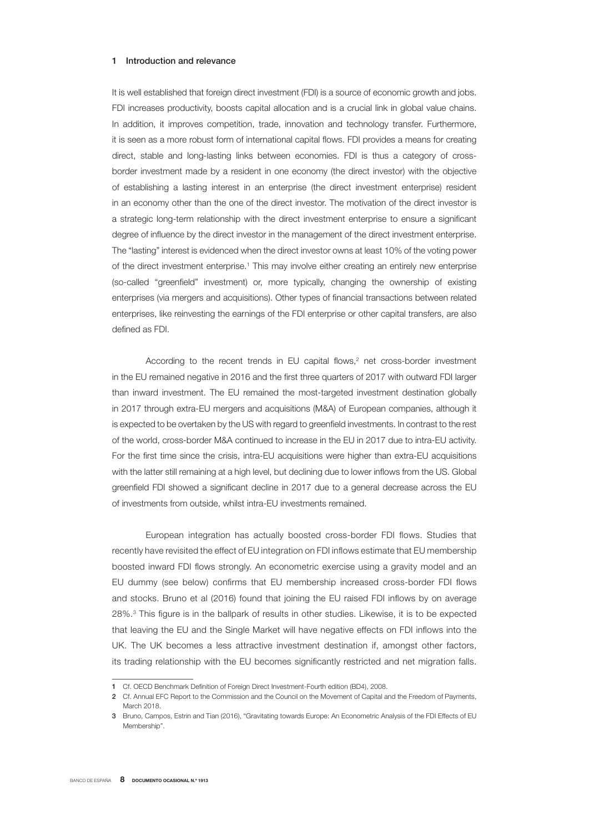### 1 Introduction and relevance

It is well established that foreign direct investment (FDI) is a source of economic growth and jobs. FDI increases productivity, boosts capital allocation and is a crucial link in global value chains. In addition, it improves competition, trade, innovation and technology transfer. Furthermore, it is seen as a more robust form of international capital flows. FDI provides a means for creating direct, stable and long-lasting links between economies. FDI is thus a category of crossborder investment made by a resident in one economy (the direct investor) with the objective of establishing a lasting interest in an enterprise (the direct investment enterprise) resident in an economy other than the one of the direct investor. The motivation of the direct investor is a strategic long-term relationship with the direct investment enterprise to ensure a significant degree of influence by the direct investor in the management of the direct investment enterprise. The "lasting" interest is evidenced when the direct investor owns at least 10% of the voting power of the direct investment enterprise.<sup>1</sup> This may involve either creating an entirely new enterprise (so-called "greenfield" investment) or, more typically, changing the ownership of existing enterprises (via mergers and acquisitions). Other types of financial transactions between related enterprises, like reinvesting the earnings of the FDI enterprise or other capital transfers, are also defined as FDI.

According to the recent trends in  $EU$  capital flows,<sup>2</sup> net cross-border investment in the EU remained negative in 2016 and the first three quarters of 2017 with outward FDI larger than inward investment. The EU remained the most-targeted investment destination globally in 2017 through extra-EU mergers and acquisitions (M&A) of European companies, although it is expected to be overtaken by the US with regard to greenfield investments. In contrast to the rest of the world, cross-border M&A continued to increase in the EU in 2017 due to intra-EU activity. For the first time since the crisis, intra-EU acquisitions were higher than extra-EU acquisitions with the latter still remaining at a high level, but declining due to lower inflows from the US. Global greenfield FDI showed a significant decline in 2017 due to a general decrease across the EU of investments from outside, whilst intra-EU investments remained.

European integration has actually boosted cross-border FDI flows. Studies that recently have revisited the effect of EU integration on FDI inflows estimate that EU membership boosted inward FDI flows strongly. An econometric exercise using a gravity model and an EU dummy (see below) confirms that EU membership increased cross-border FDI flows and stocks. Bruno et al (2016) found that joining the EU raised FDI inflows by on average 28%.<sup>3</sup> This figure is in the ballpark of results in other studies. Likewise, it is to be expected that leaving the EU and the Single Market will have negative effects on FDI inflows into the UK. The UK becomes a less attractive investment destination if, amongst other factors, its trading relationship with the EU becomes significantly restricted and net migration falls.

<sup>1</sup> Cf. OECD Benchmark Definition of Foreign Direct Investment-Fourth edition (BD4), 2008.

<sup>2</sup> Cf. Annual EFC Report to the Commission and the Council on the Movement of Capital and the Freedom of Payments, March 2018.

<sup>3</sup> Bruno, Campos, Estrin and Tian (2016), "Gravitating towards Europe: An Econometric Analysis of the FDI Effects of EU Membership".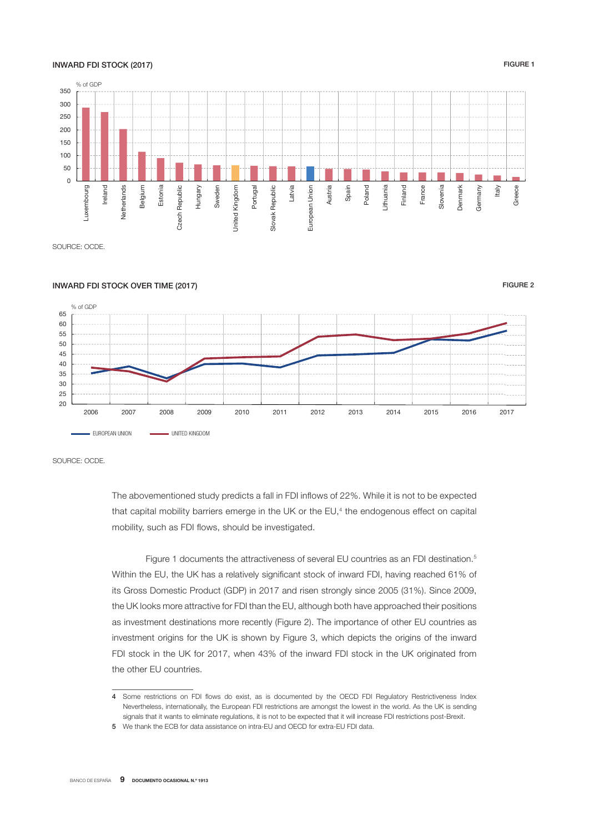### INWARD FDI STOCK (2017) THE RELEASE OF STOCK (2017)

### % of GDP 350 300 250 200 150 100 50  $\Omega$ Ireland detherlands Latvia -uxembourg Belgium Estonia Czech Republic Hungary **Jnited Kingdom** Portugal Slovak Republic Austria Spain Lithuania Finland Greece Luxembourg Netherlands Czech Republic Sweden United Kingdom Slovak Republic European Union European Union Poland France Denmark Italy Slovenia Denmark German<sub>)</sub>

SOURCE: OCDE.



SOURCE: OCDE.

The abovementioned study predicts a fall in FDI inflows of 22%. While it is not to be expected that capital mobility barriers emerge in the UK or the EU,<sup>4</sup> the endogenous effect on capital mobility, such as FDI flows, should be investigated.

Figure 1 documents the attractiveness of several EU countries as an FDI destination.<sup>5</sup> Within the EU, the UK has a relatively significant stock of inward FDI, having reached 61% of its Gross Domestic Product (GDP) in 2017 and risen strongly since 2005 (31%). Since 2009, the UK looks more attractive for FDI than the EU, although both have approached their positions as investment destinations more recently (Figure 2). The importance of other EU countries as investment origins for the UK is shown by Figure 3, which depicts the origins of the inward FDI stock in the UK for 2017, when 43% of the inward FDI stock in the UK originated from the other EU countries.

<sup>4</sup> Some restrictions on FDI flows do exist, as is documented by the OECD FDI Regulatory Restrictiveness Index Nevertheless, internationally, the European FDI restrictions are amongst the lowest in the world. As the UK is sending signals that it wants to eliminate regulations, it is not to be expected that it will increase FDI restrictions post-Brexit.

<sup>5</sup> We thank the ECB for data assistance on intra-EU and OECD for extra-EU FDI data.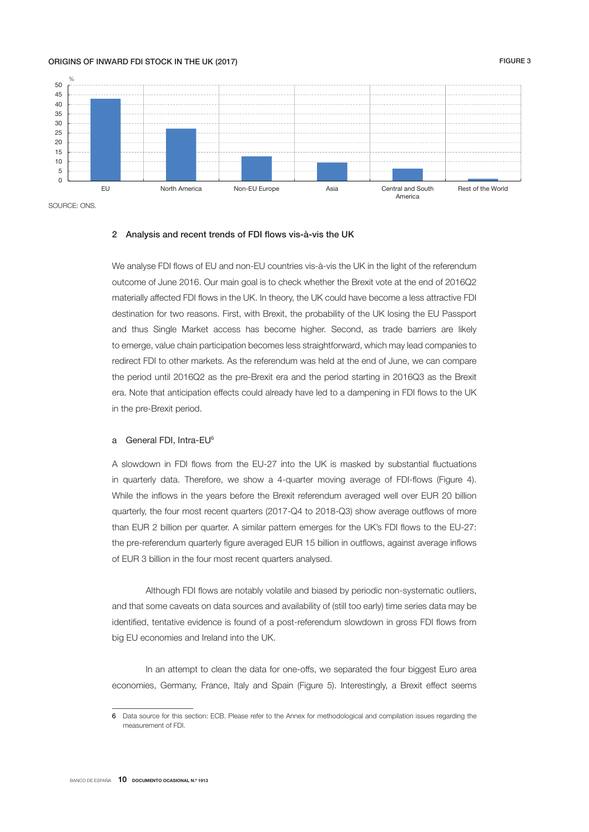### ORIGINS OF INWARD FDI STOCK IN THE UK (2017) GENERAL SERVICE SERVICE SERVICE SERVICE SERVICE SERVICE SERVICE S



SOURCE: ONS.

### 2 Analysis and recent trends of FDI flows vis-à-vis the UK

We analyse FDI flows of EU and non-EU countries vis-à-vis the UK in the light of the referendum outcome of June 2016. Our main goal is to check whether the Brexit vote at the end of 2016Q2 materially affected FDI flows in the UK. In theory, the UK could have become a less attractive FDI destination for two reasons. First, with Brexit, the probability of the UK losing the EU Passport and thus Single Market access has become higher. Second, as trade barriers are likely to emerge, value chain participation becomes less straightforward, which may lead companies to redirect FDI to other markets. As the referendum was held at the end of June, we can compare the period until 2016Q2 as the pre-Brexit era and the period starting in 2016Q3 as the Brexit era. Note that anticipation effects could already have led to a dampening in FDI flows to the UK in the pre-Brexit period.

### a General FDI, Intra-EU<sup>6</sup>

A slowdown in FDI flows from the EU-27 into the UK is masked by substantial fluctuations in quarterly data. Therefore, we show a 4-quarter moving average of FDI-flows (Figure 4). While the inflows in the years before the Brexit referendum averaged well over EUR 20 billion quarterly, the four most recent quarters (2017-Q4 to 2018-Q3) show average outflows of more than EUR 2 billion per quarter. A similar pattern emerges for the UK's FDI flows to the EU-27: the pre-referendum quarterly figure averaged EUR 15 billion in outflows, against average inflows of EUR 3 billion in the four most recent quarters analysed.

Although FDI flows are notably volatile and biased by periodic non-systematic outliers, and that some caveats on data sources and availability of (still too early) time series data may be identified, tentative evidence is found of a post-referendum slowdown in gross FDI flows from big EU economies and Ireland into the UK.

In an attempt to clean the data for one-offs, we separated the four biggest Euro area economies, Germany, France, Italy and Spain (Figure 5). Interestingly, a Brexit effect seems

<sup>6</sup> Data source for this section: ECB. Please refer to the Annex for methodological and compilation issues regarding the measurement of FDI.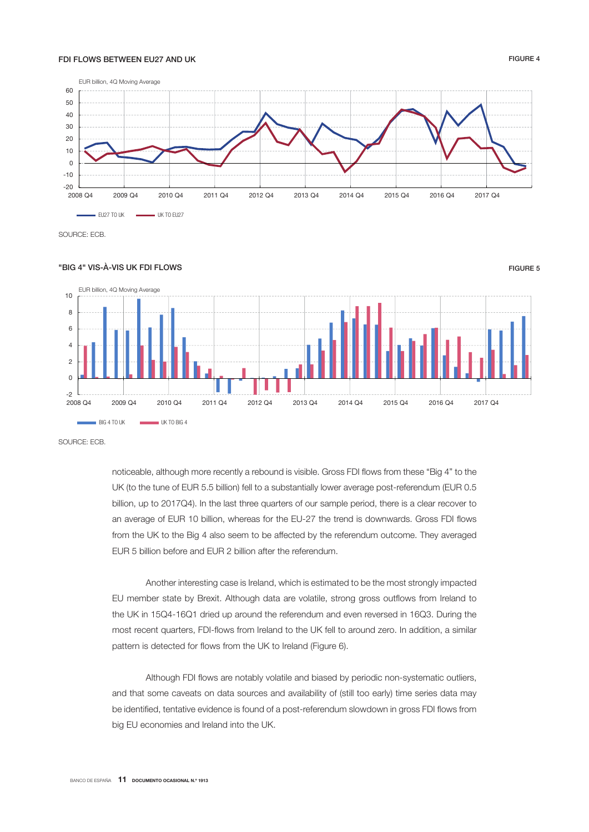### FDI FLOWS BETWEEN EU27 AND UK FIGURE 4



SOURCE: ECB.

### "BIG 4" VIS-À-VIS UK FDI FLOWS FIGURE 5



SOURCE: ECB.

noticeable, although more recently a rebound is visible. Gross FDI flows from these "Big 4" to the UK (to the tune of EUR 5.5 billion) fell to a substantially lower average post-referendum (EUR 0.5 billion, up to 2017Q4). In the last three quarters of our sample period, there is a clear recover to an average of EUR 10 billion, whereas for the EU-27 the trend is downwards. Gross FDI flows from the UK to the Big 4 also seem to be affected by the referendum outcome. They averaged EUR 5 billion before and EUR 2 billion after the referendum.

Another interesting case is Ireland, which is estimated to be the most strongly impacted EU member state by Brexit. Although data are volatile, strong gross outflows from Ireland to the UK in 15Q4-16Q1 dried up around the referendum and even reversed in 16Q3. During the most recent quarters, FDI-flows from Ireland to the UK fell to around zero. In addition, a similar pattern is detected for flows from the UK to Ireland (Figure 6).

Although FDI flows are notably volatile and biased by periodic non-systematic outliers, and that some caveats on data sources and availability of (still too early) time series data may be identified, tentative evidence is found of a post-referendum slowdown in gross FDI flows from big EU economies and Ireland into the UK.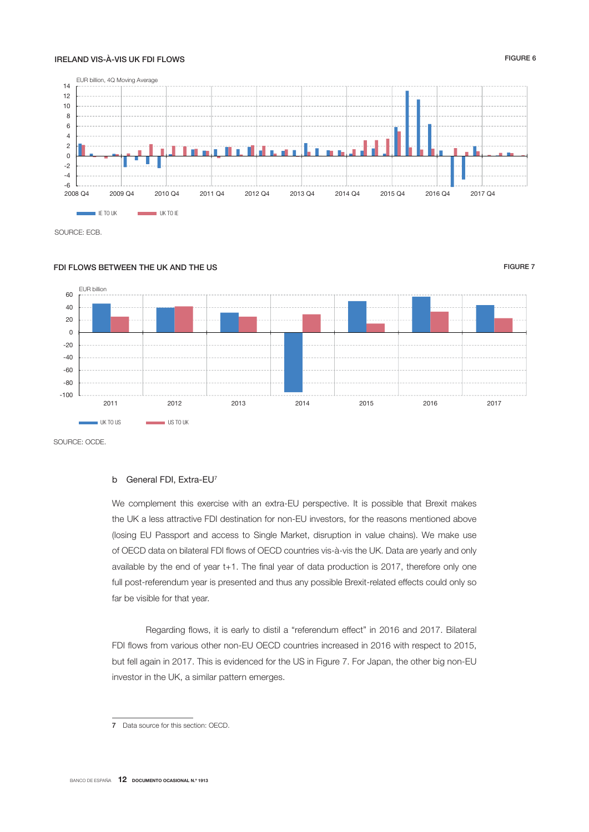## IRELAND VIS-À-VIS UK FDI FLOWS FIGURE 6



SOURCE: ECB.

## FOLELOWS BETWEEN THE UK AND THE US FIGURE 7 AND THE US FIGURE 7



SOURCE: OCDE.

### b General FDI, Extra-EU<sup>7</sup>

We complement this exercise with an extra-EU perspective. It is possible that Brexit makes the UK a less attractive FDI destination for non-EU investors, for the reasons mentioned above (losing EU Passport and access to Single Market, disruption in value chains). We make use of OECD data on bilateral FDI flows of OECD countries vis-à-vis the UK. Data are yearly and only available by the end of year t+1. The final year of data production is 2017, therefore only one full post-referendum year is presented and thus any possible Brexit-related effects could only so far be visible for that year.

Regarding flows, it is early to distil a "referendum effect" in 2016 and 2017. Bilateral FDI flows from various other non-EU OECD countries increased in 2016 with respect to 2015, but fell again in 2017. This is evidenced for the US in Figure 7. For Japan, the other big non-EU investor in the UK, a similar pattern emerges.

<sup>7</sup> Data source for this section: OECD.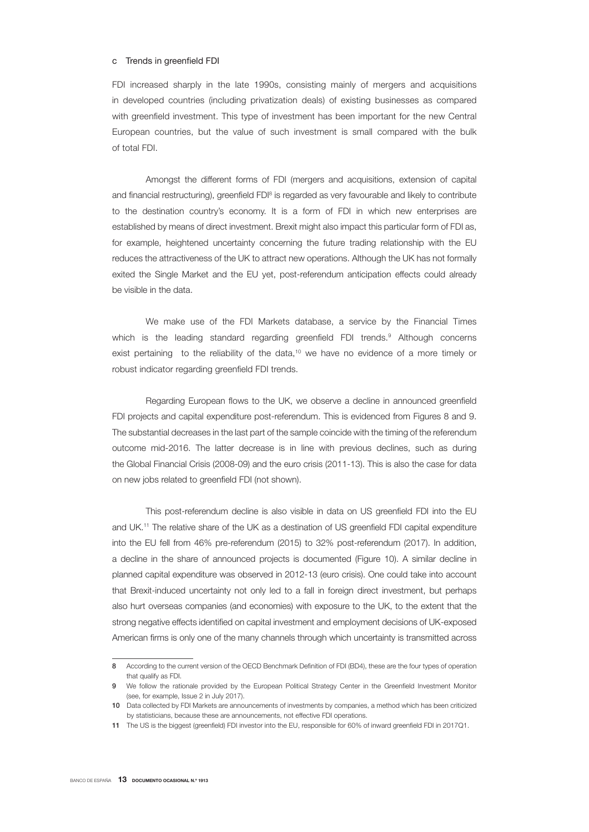### c Trends in greenfield FDI

FDI increased sharply in the late 1990s, consisting mainly of mergers and acquisitions in developed countries (including privatization deals) of existing businesses as compared with greenfield investment. This type of investment has been important for the new Central European countries, but the value of such investment is small compared with the bulk of total FDI.

Amongst the different forms of FDI (mergers and acquisitions, extension of capital and financial restructuring), greenfield FDI<sup>8</sup> is regarded as very favourable and likely to contribute to the destination country's economy. It is a form of FDI in which new enterprises are established by means of direct investment. Brexit might also impact this particular form of FDI as, for example, heightened uncertainty concerning the future trading relationship with the EU reduces the attractiveness of the UK to attract new operations. Although the UK has not formally exited the Single Market and the EU yet, post-referendum anticipation effects could already be visible in the data.

We make use of the FDI Markets database, a service by the Financial Times which is the leading standard regarding greenfield FDI trends.<sup>9</sup> Although concerns exist pertaining to the reliability of the data,<sup>10</sup> we have no evidence of a more timely or robust indicator regarding greenfield FDI trends.

Regarding European flows to the UK, we observe a decline in announced greenfield FDI projects and capital expenditure post-referendum. This is evidenced from Figures 8 and 9. The substantial decreases in the last part of the sample coincide with the timing of the referendum outcome mid-2016. The latter decrease is in line with previous declines, such as during the Global Financial Crisis (2008-09) and the euro crisis (2011-13). This is also the case for data on new jobs related to greenfield FDI (not shown).

This post-referendum decline is also visible in data on US greenfield FDI into the EU and UK.11 The relative share of the UK as a destination of US greenfield FDI capital expenditure into the EU fell from 46% pre-referendum (2015) to 32% post-referendum (2017). In addition, a decline in the share of announced projects is documented (Figure 10). A similar decline in planned capital expenditure was observed in 2012-13 (euro crisis). One could take into account that Brexit-induced uncertainty not only led to a fall in foreign direct investment, but perhaps also hurt overseas companies (and economies) with exposure to the UK, to the extent that the strong negative effects identified on capital investment and employment decisions of UK-exposed American firms is only one of the many channels through which uncertainty is transmitted across

<sup>8</sup> According to the current version of the OECD Benchmark Definition of FDI (BD4), these are the four types of operation that qualify as FDI.

<sup>9</sup> We follow the rationale provided by the European Political Strategy Center in the Greenfield Investment Monitor (see, for example, Issue 2 in July 2017).

<sup>10</sup> Data collected by FDI Markets are announcements of investments by companies, a method which has been criticized by statisticians, because these are announcements, not effective FDI operations.

<sup>11</sup> The US is the biggest (greenfield) FDI investor into the EU, responsible for 60% of inward greenfield FDI in 2017Q1.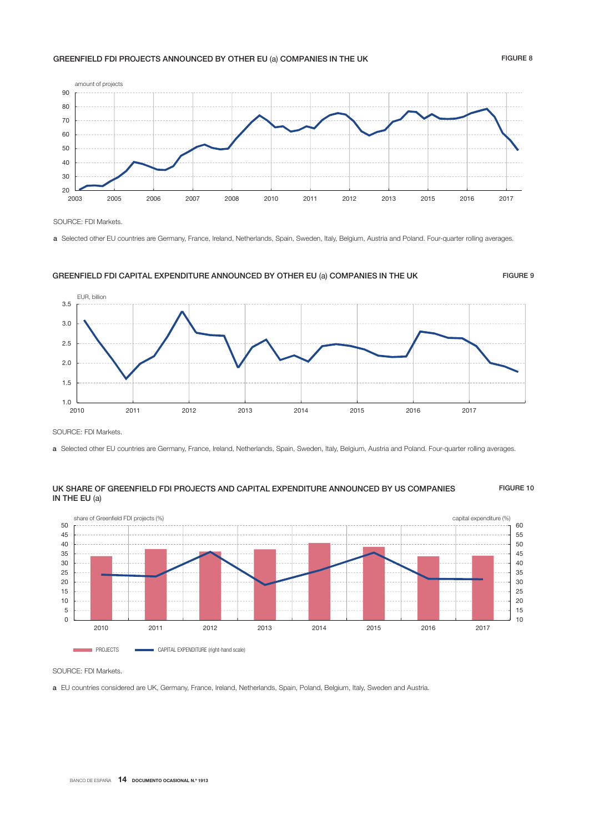### GREENFIELD FDI PROJECTS ANNOUNCED BY OTHER EU (a) COMPANIES IN THE UK FIGURE 8



SOURCE: FDI Markets.

a Selected other EU countries are Germany, France, Ireland, Netherlands, Spain, Sweden, Italy, Belgium, Austria and Poland. Four-quarter rolling averages.

# $1.0$   $-$ <br>2010 1.5 2.0 2.5 3.0 3.5 2010 2011 2012 2013 2014 2015 2016 2017 EUR, billion

GREENFIELD FDI CAPITAL EXPENDITURE ANNOUNCED BY OTHER EU (a) COMPANIES IN THE UK FIGURE 9

SOURCE: FDI Markets.

a Selected other EU countries are Germany, France, Ireland, Netherlands, Spain, Sweden, Italy, Belgium, Austria and Poland. Four-quarter rolling averages.

### UK SHARE OF GREENFIELD FDI PROJECTS AND CAPITAL EXPENDITURE ANNOUNCED BY US COMPANIES FIGURE 10 IN THE EU (a)



SOURCE: FDI Markets.

a EU countries considered are UK, Germany, France, Ireland, Netherlands, Spain, Poland, Belgium, Italy, Sweden and Austria.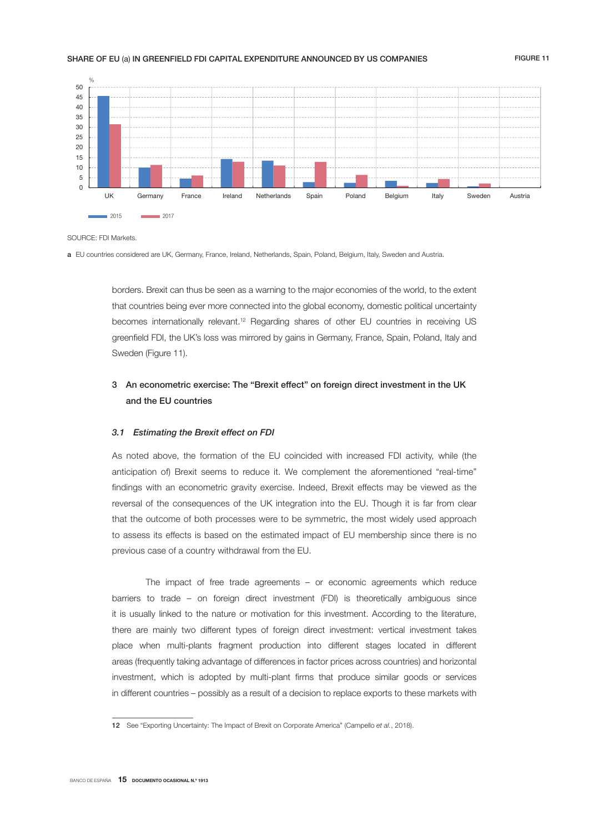### SHARE OF EU (a) IN GREENFIELD FDI CAPITAL EXPENDITURE ANNOUNCED BY US COMPANIES FIGURE 11



SOLIRCE: EDI Markets.

a EU countries considered are UK, Germany, France, Ireland, Netherlands, Spain, Poland, Belgium, Italy, Sweden and Austria.

borders. Brexit can thus be seen as a warning to the major economies of the world, to the extent that countries being ever more connected into the global economy, domestic political uncertainty becomes internationally relevant.12 Regarding shares of other EU countries in receiving US greenfield FDI, the UK's loss was mirrored by gains in Germany, France, Spain, Poland, Italy and Sweden (Figure 11).

# 3 An econometric exercise: The "Brexit effect" on foreign direct investment in the UK and the EU countries

### 3.1 Estimating the Brexit effect on FDI

As noted above, the formation of the EU coincided with increased FDI activity, while (the anticipation of) Brexit seems to reduce it. We complement the aforementioned "real-time" findings with an econometric gravity exercise. Indeed, Brexit effects may be viewed as the reversal of the consequences of the UK integration into the EU. Though it is far from clear that the outcome of both processes were to be symmetric, the most widely used approach to assess its effects is based on the estimated impact of EU membership since there is no previous case of a country withdrawal from the EU.

The impact of free trade agreements – or economic agreements which reduce barriers to trade – on foreign direct investment (FDI) is theoretically ambiguous since it is usually linked to the nature or motivation for this investment. According to the literature, there are mainly two different types of foreign direct investment: vertical investment takes place when multi-plants fragment production into different stages located in different areas (frequently taking advantage of differences in factor prices across countries) and horizontal investment, which is adopted by multi-plant firms that produce similar goods or services in different countries – possibly as a result of a decision to replace exports to these markets with

<sup>12</sup> See "Exporting Uncertainty: The Impact of Brexit on Corporate America" (Campello *et al.*, 2018).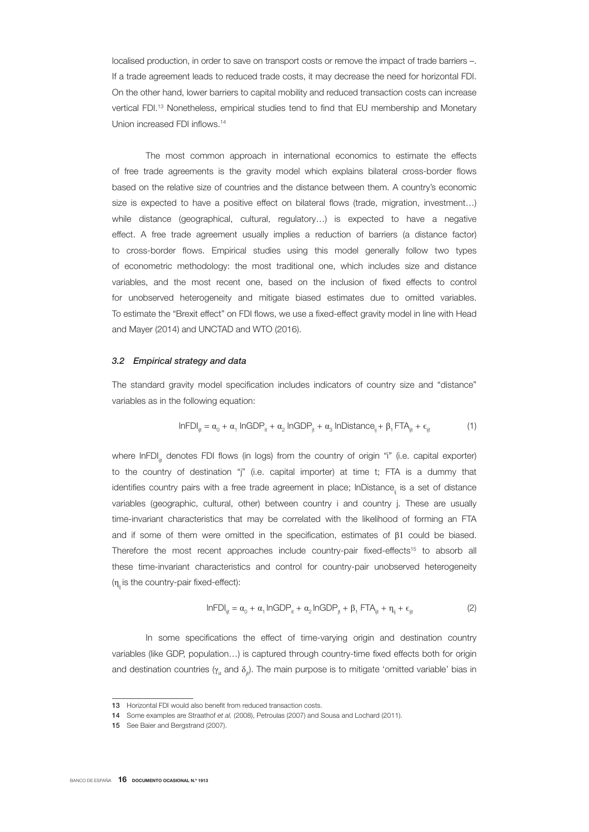localised production, in order to save on transport costs or remove the impact of trade barriers –. If a trade agreement leads to reduced trade costs, it may decrease the need for horizontal FDI. On the other hand, lower barriers to capital mobility and reduced transaction costs can increase vertical FDI.<sup>13</sup> Nonetheless, empirical studies tend to find that EU membership and Monetary Union increased FDI inflows.<sup>14</sup>

The most common approach in international economics to estimate the effects of free trade agreements is the gravity model which explains bilateral cross-border flows based on the relative size of countries and the distance between them. A country's economic size is expected to have a positive effect on bilateral flows (trade, migration, investment...) while distance (geographical, cultural, regulatory…) is expected to have a negative effect. A free trade agreement usually implies a reduction of barriers (a distance factor) to cross-border flows. Empirical studies using this model generally follow two types of econometric methodology: the most traditional one, which includes size and distance variables, and the most recent one, based on the inclusion of fixed effects to control for unobserved heterogeneity and mitigate biased estimates due to omitted variables. To estimate the "Brexit effect" on FDI flows, we use a fixed-effect gravity model in line with Head and Mayer (2014) and UNCTAD and WTO (2016).

### 3.2 Empirical strategy and data

The standard gravity model specification includes indicators of country size and "distance" variables as in the following equation:

$$
InFDI_{ijt} = \alpha_0 + \alpha_1 InGDP_{it} + \alpha_2 InGDP_{jt} + \alpha_3 InDistance_{ij} + \beta_1 FTA_{ijt} + \varepsilon_{ijt}
$$
 (1)

where InFDI<sub>it</sub> denotes FDI flows (in logs) from the country of origin "i" (i.e. capital exporter) to the country of destination "j" (i.e. capital importer) at time t; FTA is a dummy that identifies country pairs with a free trade agreement in place; InDistance, is a set of distance variables (geographic, cultural, other) between country i and country j. These are usually time-invariant characteristics that may be correlated with the likelihood of forming an FTA and if some of them were omitted in the specification, estimates of β1 could be biased. Therefore the most recent approaches include country-pair fixed-effects<sup>15</sup> to absorb all these time-invariant characteristics and control for country-pair unobserved heterogeneity  $(n<sub>ii</sub>$  is the country-pair fixed-effect):

$$
InFDI_{ijt} = \alpha_0 + \alpha_1 InGDP_{it} + \alpha_2 InGDP_{jt} + \beta_1 FTA_{ijt} + \eta_{ij} + \varepsilon_{ijt}
$$
 (2)

In some specifications the effect of time-varying origin and destination country variables (like GDP, population...) is captured through country-time fixed effects both for origin and destination countries ( $\gamma_{_{\rm it}}$  and  $\delta_{_{\rm j}t}$ ). The main purpose is to mitigate 'omitted variable' bias in

<sup>13</sup> Horizontal FDI would also benefit from reduced transaction costs.

<sup>14</sup> Some examples are Straathof *et al.* (2008), Petroulas (2007) and Sousa and Lochard (2011).

<sup>15</sup> See Baier and Bergstrand (2007).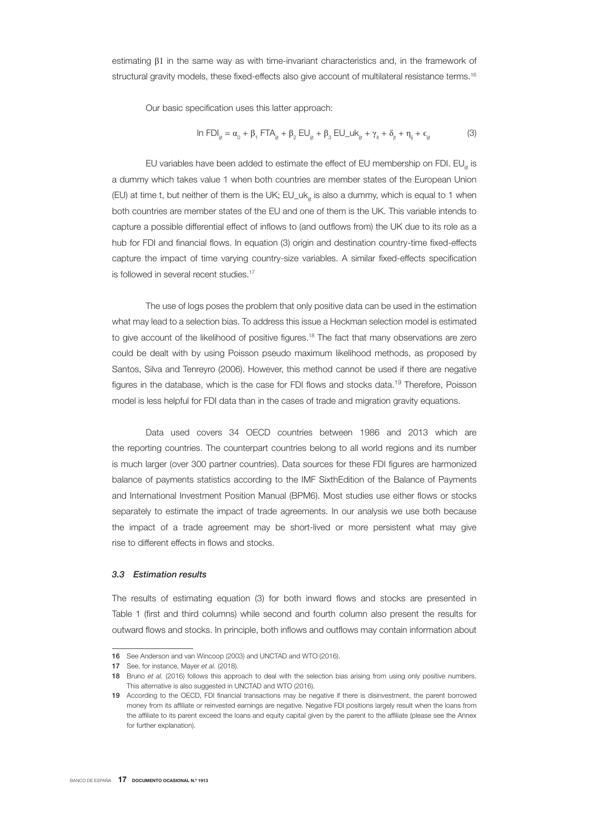estimating β1 in the same way as with time-invariant characteristics and, in the framework of structural gravity models, these fixed-effects also give account of multilateral resistance terms.<sup>16</sup>

Our basic specification uses this latter approach:

$$
\ln FDI_{ijt} = \alpha_0 + \beta_1 FTA_{ijt} + \beta_2 EU_{ijt} + \beta_3 EU\_uk_{ijt} + \gamma_{it} + \delta_{jt} + \eta_{ij} + \epsilon_{ijt}
$$
 (3)

EU variables have been added to estimate the effect of EU membership on FDI. EU $_{\ast}$  is a dummy which takes value 1 when both countries are member states of the European Union (EU) at time t, but neither of them is the UK; EU\_uk<sub>iit</sub> is also a dummy, which is equal to 1 when both countries are member states of the EU and one of them is the UK. This variable intends to capture a possible differential effect of inflows to (and outflows from) the UK due to its role as a hub for FDI and financial flows. In equation (3) origin and destination country-time fixed-effects capture the impact of time varying country-size variables. A similar fixed-effects specification is followed in several recent studies.<sup>17</sup>

The use of logs poses the problem that only positive data can be used in the estimation what may lead to a selection bias. To address this issue a Heckman selection model is estimated to give account of the likelihood of positive figures.<sup>18</sup> The fact that many observations are zero could be dealt with by using Poisson pseudo maximum likelihood methods, as proposed by Santos, Silva and Tenreyro (2006). However, this method cannot be used if there are negative figures in the database, which is the case for FDI flows and stocks data.<sup>19</sup> Therefore, Poisson model is less helpful for FDI data than in the cases of trade and migration gravity equations.

Data used covers 34 OECD countries between 1986 and 2013 which are the reporting countries. The counterpart countries belong to all world regions and its number is much larger (over 300 partner countries). Data sources for these FDI figures are harmonized balance of payments statistics according to the IMF SixthEdition of the Balance of Payments and International Investment Position Manual (BPM6). Most studies use either flows or stocks separately to estimate the impact of trade agreements. In our analysis we use both because the impact of a trade agreement may be short-lived or more persistent what may give rise to different effects in flows and stocks.

### 3.3 Estimation results

The results of estimating equation (3) for both inward flows and stocks are presented in Table 1 (first and third columns) while second and fourth column also present the results for outward flows and stocks. In principle, both inflows and outflows may contain information about

<sup>16</sup> See Anderson and van Wincoop (2003) and UNCTAD and WTO (2016).

<sup>17</sup> See, for instance, Mayer *et al.* (2018).

<sup>18</sup> Bruno *et al.* (2016) follows this approach to deal with the selection bias arising from using only positive numbers. This alternative is also suggested in UNCTAD and WTO (2016).

<sup>19</sup> According to the OECD, FDI financial transactions may be negative if there is disinvestment, the parent borrowed money from its affiliate or reinvested earnings are negative. Negative FDI positions largely result when the loans from the affiliate to its parent exceed the loans and equity capital given by the parent to the affiliate (please see the Annex for further explanation).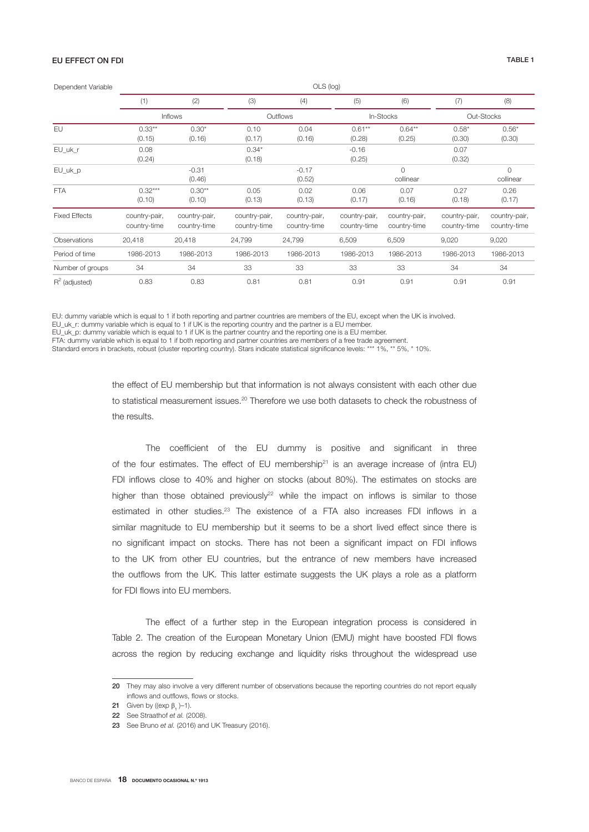## EU EFFECT ON FDI TABLE 1

| Dependent Variable   | OLS (log)                     |                               |                               |                               |                               |                               |                               |                               |  |
|----------------------|-------------------------------|-------------------------------|-------------------------------|-------------------------------|-------------------------------|-------------------------------|-------------------------------|-------------------------------|--|
|                      | (1)                           | (2)                           | (3)                           | (4)                           | (5)                           | (6)                           | (7)                           | (8)                           |  |
|                      |                               | <b>Inflows</b>                |                               | Outflows                      |                               | In-Stocks                     |                               | Out-Stocks                    |  |
| EU                   | $0.33***$<br>(0.15)           | $0.30*$<br>(0.16)             | 0.10<br>(0.17)                | 0.04<br>(0.16)                | $0.61**$<br>(0.28)            | $0.64**$<br>(0.25)            | $0.58*$<br>(0.30)             | $0.56*$<br>(0.30)             |  |
| EU_uk_r              | 0.08<br>(0.24)                |                               | $0.34*$<br>(0.18)             |                               | $-0.16$<br>(0.25)             |                               | 0.07<br>(0.32)                |                               |  |
| EU_uk_p              |                               | $-0.31$<br>(0.46)             |                               | $-0.17$<br>(0.52)             |                               | $\circ$<br>collinear          |                               | $\circ$<br>collinear          |  |
| <b>FTA</b>           | $0.32***$<br>(0.10)           | $0.30**$<br>(0.10)            | 0.05<br>(0.13)                | 0.02<br>(0.13)                | 0.06<br>(0.17)                | 0.07<br>(0.16)                | 0.27<br>(0.18)                | 0.26<br>(0.17)                |  |
| <b>Fixed Effects</b> | country-pair,<br>country-time | country-pair,<br>country-time | country-pair,<br>country-time | country-pair,<br>country-time | country-pair,<br>country-time | country-pair,<br>country-time | country-pair,<br>country-time | country-pair,<br>country-time |  |
| Observations         | 20,418                        | 20,418                        | 24,799                        | 24,799                        | 6,509                         | 6,509                         | 9,020                         | 9,020                         |  |
| Period of time       | 1986-2013                     | 1986-2013                     | 1986-2013                     | 1986-2013                     | 1986-2013                     | 1986-2013                     | 1986-2013                     | 1986-2013                     |  |
| Number of groups     | 34                            | 34                            | 33                            | 33                            | 33                            | 33                            | 34                            | 34                            |  |
| $R^2$ (adjusted)     | 0.83                          | 0.83                          | 0.81                          | 0.81                          | 0.91                          | 0.91                          | 0.91                          | 0.91                          |  |

EU: dummy variable which is equal to 1 if both reporting and partner countries are members of the EU, except when the UK is involved.

EU\_uk\_r: dummy variable which is equal to 1 if UK is the reporting country and the partner is a EU member.

EU\_uk\_p: dummy variable which is equal to 1 if UK is the partner country and the reporting one is a EU member.

FTA: dummy variable which is equal to 1 if both reporting and partner countries are members of a free trade agreement.

Standard errors in brackets, robust (cluster reporting country). Stars indicate statistical significance levels: \*\*\* 1%, \*\* 5%, \* 10%.

the effect of EU membership but that information is not always consistent with each other due to statistical measurement issues.<sup>20</sup> Therefore we use both datasets to check the robustness of the results.

The coefficient of the EU dummy is positive and significant in three of the four estimates. The effect of EU membership<sup>21</sup> is an average increase of (intra EU) FDI inflows close to 40% and higher on stocks (about 80%). The estimates on stocks are higher than those obtained previously<sup>22</sup> while the impact on inflows is similar to those estimated in other studies.23 The existence of a FTA also increases FDI inflows in a similar magnitude to EU membership but it seems to be a short lived effect since there is no significant impact on stocks. There has not been a significant impact on FDI inflows to the UK from other EU countries, but the entrance of new members have increased the outflows from the UK. This latter estimate suggests the UK plays a role as a platform for FDI flows into EU members.

The effect of a further step in the European integration process is considered in Table 2. The creation of the European Monetary Union (EMU) might have boosted FDI flows across the region by reducing exchange and liquidity risks throughout the widespread use

<sup>20</sup> They may also involve a very different number of observations because the reporting countries do not report equally inflows and outflows, flows or stocks.

**<sup>21</sup>** Given by ((exp  $\beta_1$ )-1).

<sup>22</sup> See Straathof et al. (2008).

<sup>23</sup> See Bruno et al. (2016) and UK Treasury (2016).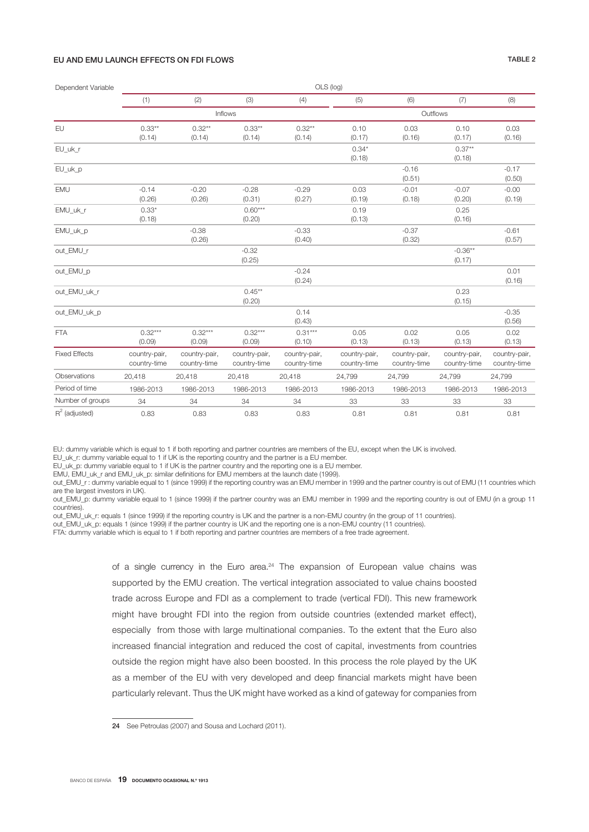### EU AND EMU LAUNCH EFFECTS ON FDI FLOWS TABLE 2

| Dependent Variable   |                               | OLS (log)                     |                               |                               |                               |                               |                               |                               |  |  |
|----------------------|-------------------------------|-------------------------------|-------------------------------|-------------------------------|-------------------------------|-------------------------------|-------------------------------|-------------------------------|--|--|
|                      | (1)                           | (2)                           | (3)                           | (4)                           | (5)                           | (6)                           | (7)                           | (8)                           |  |  |
|                      |                               |                               | Inflows                       |                               |                               |                               | Outflows                      |                               |  |  |
| EU                   | $0.33**$<br>(0.14)            | $0.32***$<br>(0.14)           | $0.33***$<br>(0.14)           | $0.32**$<br>(0.14)            | 0.10<br>(0.17)                | 0.03<br>(0.16)                | 0.10<br>(0.17)                | 0.03<br>(0.16)                |  |  |
| EU_uk_r              |                               |                               |                               |                               | $0.34*$<br>(0.18)             |                               | $0.37**$<br>(0.18)            |                               |  |  |
| EU_uk_p              |                               |                               |                               |                               |                               | $-0.16$<br>(0.51)             |                               | $-0.17$<br>(0.50)             |  |  |
| <b>EMU</b>           | $-0.14$<br>(0.26)             | $-0.20$<br>(0.26)             | $-0.28$<br>(0.31)             | $-0.29$<br>(0.27)             | 0.03<br>(0.19)                | $-0.01$<br>(0.18)             | $-0.07$<br>(0.20)             | $-0.00$<br>(0.19)             |  |  |
| EMU_uk_r             | $0.33*$<br>(0.18)             |                               | $0.60***$<br>(0.20)           |                               | 0.19<br>(0.13)                |                               | 0.25<br>(0.16)                |                               |  |  |
| EMU_uk_p             |                               | $-0.38$<br>(0.26)             |                               | $-0.33$<br>(0.40)             |                               | $-0.37$<br>(0.32)             |                               | $-0.61$<br>(0.57)             |  |  |
| out_EMU_r            |                               |                               | $-0.32$<br>(0.25)             |                               |                               |                               | $-0.36**$<br>(0.17)           |                               |  |  |
| out_EMU_p            |                               |                               |                               | $-0.24$<br>(0.24)             |                               |                               |                               | 0.01<br>(0.16)                |  |  |
| out_EMU_uk_r         |                               |                               | $0.45***$<br>(0.20)           |                               |                               |                               | 0.23<br>(0.15)                |                               |  |  |
| out_EMU_uk_p         |                               |                               |                               | 0.14<br>(0.43)                |                               |                               |                               | $-0.35$<br>(0.56)             |  |  |
| <b>FTA</b>           | $0.32***$<br>(0.09)           | $0.32***$<br>(0.09)           | $0.32***$<br>(0.09)           | $0.31***$<br>(0.10)           | 0.05<br>(0.13)                | 0.02<br>(0.13)                | 0.05<br>(0.13)                | 0.02<br>(0.13)                |  |  |
| <b>Fixed Effects</b> | country-pair,<br>country-time | country-pair,<br>country-time | country-pair,<br>country-time | country-pair,<br>country-time | country-pair,<br>country-time | country-pair,<br>country-time | country-pair,<br>country-time | country-pair,<br>country-time |  |  |
| Observations         | 20.418                        | 20,418                        | 20,418                        | 20,418                        | 24.799                        | 24.799                        | 24.799                        | 24,799                        |  |  |
| Period of time       | 1986-2013                     | 1986-2013                     | 1986-2013                     | 1986-2013                     | 1986-2013                     | 1986-2013                     | 1986-2013                     | 1986-2013                     |  |  |
| Number of groups     | 34                            | 34                            | 34                            | 34                            | 33                            | 33                            | 33                            | 33                            |  |  |
| $R^2$ (adjusted)     | 0.83                          | 0.83                          | 0.83                          | 0.83                          | 0.81                          | 0.81                          | 0.81                          | 0.81                          |  |  |

EU: dummy variable which is equal to 1 if both reporting and partner countries are members of the EU, except when the UK is involved.

EU\_uk\_r: dummy variable equal to 1 if UK is the reporting country and the partner is a EU member.

EU\_uk\_p: dummy variable equal to 1 if UK is the partner country and the reporting one is a EU member.

EMU, EMU\_uk\_r and EMU\_uk\_p: similar definitions for EMU members at the launch date (1999).

out\_EMU\_r : dummy variable equal to 1 (since 1999) if the reporting country was an EMU member in 1999 and the partner country is out of EMU (11 countries which are the largest investors in UK).

out\_EMU\_p: dummy variable equal to 1 (since 1999) if the partner country was an EMU member in 1999 and the reporting country is out of EMU (in a group 11 countries).

out\_EMU\_uk\_r: equals 1 (since 1999) if the reporting country is UK and the partner is a non-EMU country (in the group of 11 countries).

out\_EMU\_uk\_p: equals 1 (since 1999) if the partner country is UK and the reporting one is a non-EMU country (11 countries).

FTA: dummy variable which is equal to 1 if both reporting and partner countries are members of a free trade agreement.

of a single currency in the Euro area.<sup>24</sup> The expansion of European value chains was supported by the EMU creation. The vertical integration associated to value chains boosted trade across Europe and FDI as a complement to trade (vertical FDI). This new framework might have brought FDI into the region from outside countries (extended market effect), especially from those with large multinational companies. To the extent that the Euro also increased financial integration and reduced the cost of capital, investments from countries outside the region might have also been boosted. In this process the role played by the UK as a member of the EU with very developed and deep financial markets might have been particularly relevant. Thus the UK might have worked as a kind of gateway for companies from

BANCO DE ESPAÑA 19 DOCUMENTO OCASIONAL N.º 1913

<sup>24</sup> See Petroulas (2007) and Sousa and Lochard (2011).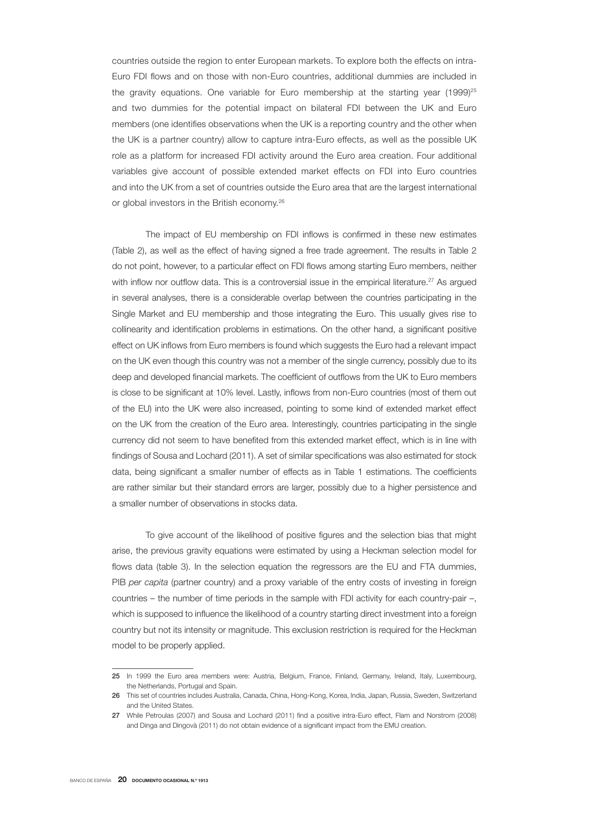countries outside the region to enter European markets. To explore both the effects on intra-Euro FDI flows and on those with non-Euro countries, additional dummies are included in the gravity equations. One variable for Euro membership at the starting year  $(1999)^{25}$ and two dummies for the potential impact on bilateral FDI between the UK and Euro members (one identifies observations when the UK is a reporting country and the other when the UK is a partner country) allow to capture intra-Euro effects, as well as the possible UK role as a platform for increased FDI activity around the Euro area creation. Four additional variables give account of possible extended market effects on FDI into Euro countries and into the UK from a set of countries outside the Euro area that are the largest international or global investors in the British economy.<sup>26</sup>

The impact of EU membership on FDI inflows is confirmed in these new estimates (Table 2), as well as the effect of having signed a free trade agreement. The results in Table 2 do not point, however, to a particular effect on FDI flows among starting Euro members, neither with inflow nor outflow data. This is a controversial issue in the empirical literature.<sup>27</sup> As argued in several analyses, there is a considerable overlap between the countries participating in the Single Market and EU membership and those integrating the Euro. This usually gives rise to collinearity and identification problems in estimations. On the other hand, a significant positive effect on UK inflows from Euro members is found which suggests the Euro had a relevant impact on the UK even though this country was not a member of the single currency, possibly due to its deep and developed financial markets. The coefficient of outflows from the UK to Euro members is close to be significant at 10% level. Lastly, inflows from non-Euro countries (most of them out of the EU) into the UK were also increased, pointing to some kind of extended market effect on the UK from the creation of the Euro area. Interestingly, countries participating in the single currency did not seem to have benefited from this extended market effect, which is in line with findings of Sousa and Lochard (2011). A set of similar specifications was also estimated for stock data, being significant a smaller number of effects as in Table 1 estimations. The coefficients are rather similar but their standard errors are larger, possibly due to a higher persistence and a smaller number of observations in stocks data.

To give account of the likelihood of positive figures and the selection bias that might arise, the previous gravity equations were estimated by using a Heckman selection model for flows data (table 3). In the selection equation the regressors are the EU and FTA dummies, PIB *per capita* (partner country) and a proxy variable of the entry costs of investing in foreign countries – the number of time periods in the sample with FDI activity for each country-pair –, which is supposed to influence the likelihood of a country starting direct investment into a foreign country but not its intensity or magnitude. This exclusion restriction is required for the Heckman model to be properly applied.

<sup>25</sup> In 1999 the Euro area members were: Austria, Belgium, France, Finland, Germany, Ireland, Italy, Luxembourg, the Netherlands, Portugal and Spain.

<sup>26</sup> This set of countries includes Australia, Canada, China, Hong-Kong, Korea, India, Japan, Russia, Sweden, Switzerland and the United States.

<sup>27</sup> While Petroulas (2007) and Sousa and Lochard (2011) find a positive intra-Euro effect, Flam and Norstrom (2008) and Dinga and Dingovà (2011) do not obtain evidence of a significant impact from the EMU creation.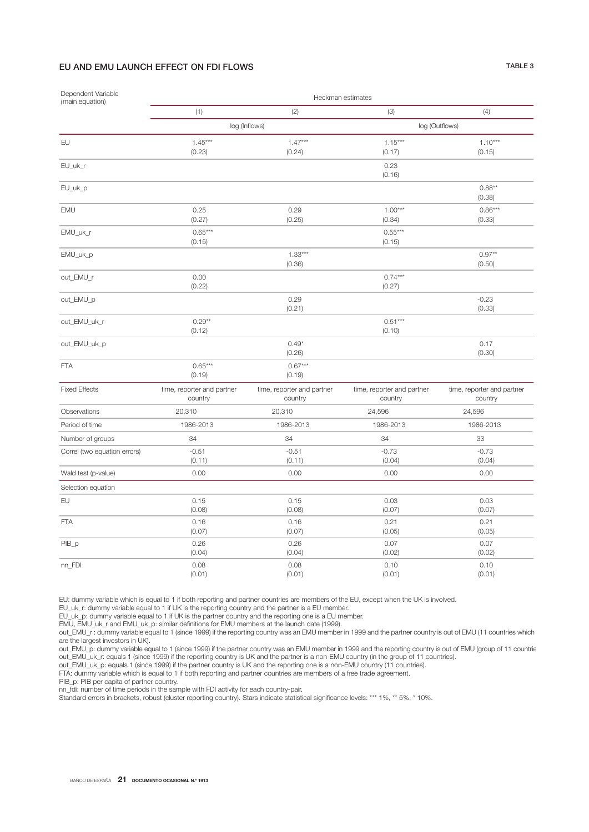# EU AND EMU LAUNCH EFFECT ON FDI FLOWS TABLE 3

| Dependent Variable<br>(main equation) | Heckman estimates                     |                                       |                                       |                                       |  |  |  |  |
|---------------------------------------|---------------------------------------|---------------------------------------|---------------------------------------|---------------------------------------|--|--|--|--|
|                                       | (1)                                   | (2)                                   | (3)                                   | (4)                                   |  |  |  |  |
|                                       |                                       | log (Inflows)                         | log (Outflows)                        |                                       |  |  |  |  |
| EU                                    | $1.45***$<br>(0.23)                   | $1.47***$<br>(0.24)                   | $1.15***$<br>(0.17)                   | $1.10***$<br>(0.15)                   |  |  |  |  |
| EU_uk_r                               |                                       |                                       | 0.23<br>(0.16)                        |                                       |  |  |  |  |
| EU_uk_p                               |                                       |                                       |                                       | $0.88**$<br>(0.38)                    |  |  |  |  |
| EMU                                   | 0.25<br>(0.27)                        | 0.29<br>(0.25)                        | $1.00***$<br>(0.34)                   | $0.86***$<br>(0.33)                   |  |  |  |  |
| EMU_uk_r                              | $0.65***$<br>(0.15)                   |                                       | $0.55***$<br>(0.15)                   |                                       |  |  |  |  |
| EMU_uk_p                              |                                       | $1.33***$<br>(0.36)                   |                                       | $0.97**$<br>(0.50)                    |  |  |  |  |
| out_EMU_r                             | 0.00<br>(0.22)                        |                                       | $0.74***$<br>(0.27)                   |                                       |  |  |  |  |
| out_EMU_p                             |                                       | 0.29<br>(0.21)                        |                                       | $-0.23$<br>(0.33)                     |  |  |  |  |
| out_EMU_uk_r                          | $0.29**$<br>(0.12)                    |                                       | $0.51***$<br>(0.10)                   |                                       |  |  |  |  |
| out_EMU_uk_p                          |                                       | $0.49*$<br>(0.26)                     |                                       | 0.17<br>(0.30)                        |  |  |  |  |
| <b>FTA</b>                            | $0.65***$<br>(0.19)                   | $0.67***$<br>(0.19)                   |                                       |                                       |  |  |  |  |
| <b>Fixed Effects</b>                  | time, reporter and partner<br>country | time, reporter and partner<br>country | time, reporter and partner<br>country | time, reporter and partner<br>country |  |  |  |  |
| Observations                          | 20,310                                | 20,310                                | 24,596                                | 24,596                                |  |  |  |  |
| Period of time                        | 1986-2013                             | 1986-2013                             | 1986-2013                             | 1986-2013                             |  |  |  |  |
| Number of groups                      | 34                                    | 34                                    | 34                                    | 33                                    |  |  |  |  |
| Correl (two equation errors)          | $-0.51$<br>(0.11)                     | $-0.51$<br>(0.11)                     | $-0.73$<br>(0.04)                     | $-0.73$<br>(0.04)                     |  |  |  |  |
| Wald test (p-value)                   | 0.00                                  | 0.00                                  | 0.00                                  | 0.00                                  |  |  |  |  |
| Selection equation                    |                                       |                                       |                                       |                                       |  |  |  |  |
| EU                                    | 0.15<br>(0.08)                        | 0.15<br>(0.08)                        | 0.03<br>(0.07)                        | 0.03<br>(0.07)                        |  |  |  |  |
| <b>FTA</b>                            | 0.16<br>(0.07)                        | 0.16<br>(0.07)                        | 0.21<br>(0.05)                        | 0.21<br>(0.05)                        |  |  |  |  |
| PIB_p                                 | 0.26<br>(0.04)                        | 0.26<br>(0.04)                        | 0.07<br>(0.02)                        | 0.07<br>(0.02)                        |  |  |  |  |
| nn_FDI                                | 0.08<br>(0.01)                        | 0.08<br>(0.01)                        | 0.10<br>(0.01)                        | 0.10<br>(0.01)                        |  |  |  |  |

EU: dummy variable which is equal to 1 if both reporting and partner countries are members of the EU, except when the UK is involved.

EU\_uk\_r: dummy variable equal to 1 if UK is the reporting country and the partner is a EU member.

EU\_uk\_p: dummy variable equal to 1 if UK is the partner country and the reporting one is a EU member.

EMU, EMU\_uk\_r and EMU\_uk\_p: similar definitions for EMU members at the launch date (1999).

out\_EMU\_r : dummy variable equal to 1 (since 1999) if the reporting country was an EMU member in 1999 and the partner country is out of EMU (11 countries which are the largest investors in UK).

out\_EMU\_p: dummy variable equal to 1 (since 1999) if the partner country was an EMU member in 1999 and the reporting country is out of EMU (group of 11 countrie out\_EMU\_uk\_r: equals 1 (since 1999) if the reporting country is UK and the partner is a non-EMU country (in the group of 11 countries).

out\_EMU\_uk\_p: equals 1 (since 1999) if the partner country is UK and the reporting one is a non-EMU country (11 countries).

FTA: dummy variable which is equal to 1 if both reporting and partner countries are members of a free trade agreement.

PIB\_p: PIB per capita of partner country.

nn\_fdi: number of time periods in the sample with FDI activity for each country-pair.

Standard errors in brackets, robust (cluster reporting country). Stars indicate statistical significance levels: \*\*\* 1%, \*\* 5%, \* 10%.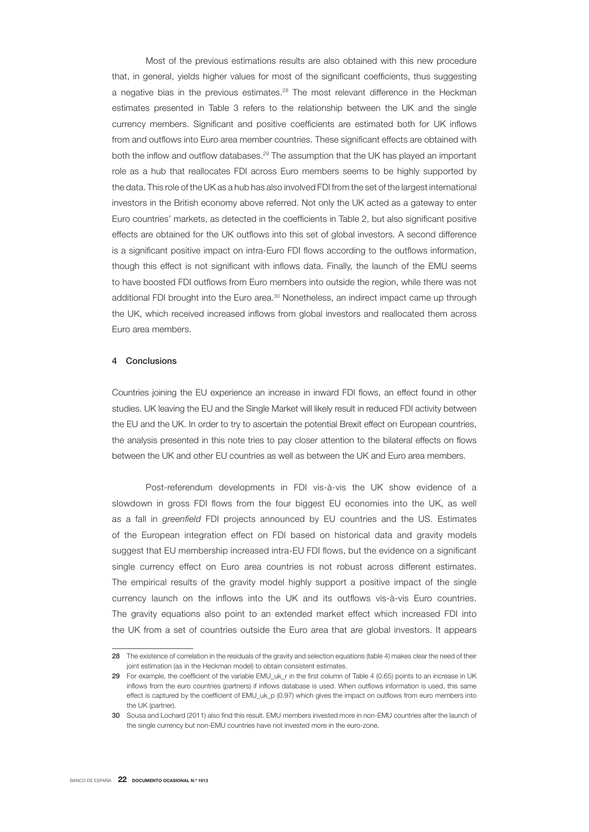Most of the previous estimations results are also obtained with this new procedure that, in general, yields higher values for most of the significant coefficients, thus suggesting a negative bias in the previous estimates.<sup>28</sup> The most relevant difference in the Heckman estimates presented in Table 3 refers to the relationship between the UK and the single currency members. Significant and positive coefficients are estimated both for UK inflows from and outflows into Euro area member countries. These significant effects are obtained with both the inflow and outflow databases.<sup>29</sup> The assumption that the UK has played an important role as a hub that reallocates FDI across Euro members seems to be highly supported by the data. This role of the UK as a hub has also involved FDI from the set of the largest international investors in the British economy above referred. Not only the UK acted as a gateway to enter Euro countries' markets, as detected in the coefficients in Table 2, but also significant positive effects are obtained for the UK outflows into this set of global investors. A second difference is a significant positive impact on intra-Euro FDI flows according to the outflows information, though this effect is not significant with inflows data. Finally, the launch of the EMU seems to have boosted FDI outflows from Euro members into outside the region, while there was not additional FDI brought into the Euro area.<sup>30</sup> Nonetheless, an indirect impact came up through the UK, which received increased inflows from global investors and reallocated them across Euro area members.

### 4 Conclusions

Countries joining the EU experience an increase in inward FDI flows, an effect found in other studies. UK leaving the EU and the Single Market will likely result in reduced FDI activity between the EU and the UK. In order to try to ascertain the potential Brexit effect on European countries, the analysis presented in this note tries to pay closer attention to the bilateral effects on flows between the UK and other EU countries as well as between the UK and Euro area members.

Post-referendum developments in FDI vis-à-vis the UK show evidence of a slowdown in gross FDI flows from the four biggest EU economies into the UK, as well as a fall in *greenfield* FDI projects announced by EU countries and the US. Estimates of the European integration effect on FDI based on historical data and gravity models suggest that EU membership increased intra-EU FDI flows, but the evidence on a significant single currency effect on Euro area countries is not robust across different estimates. The empirical results of the gravity model highly support a positive impact of the single currency launch on the inflows into the UK and its outflows vis-à-vis Euro countries. The gravity equations also point to an extended market effect which increased FDI into the UK from a set of countries outside the Euro area that are global investors. It appears

<sup>28</sup> The existence of correlation in the residuals of the gravity and selection equations (table 4) makes clear the need of their joint estimation (as in the Heckman model) to obtain consistent estimates.

<sup>29</sup> For example, the coefficient of the variable EMU\_uk\_r in the first column of Table 4 (0.65) points to an increase in UK inflows from the euro countries (partners) if inflows database is used. When outflows information is used, this same effect is captured by the coefficient of EMU\_uk\_p (0.97) which gives the impact on outflows from euro members into the UK (partner).

<sup>30</sup> Sousa and Lochard (2011) also find this result. EMU members invested more in non-EMU countries after the launch of the single currency but non-EMU countries have not invested more in the euro-zone.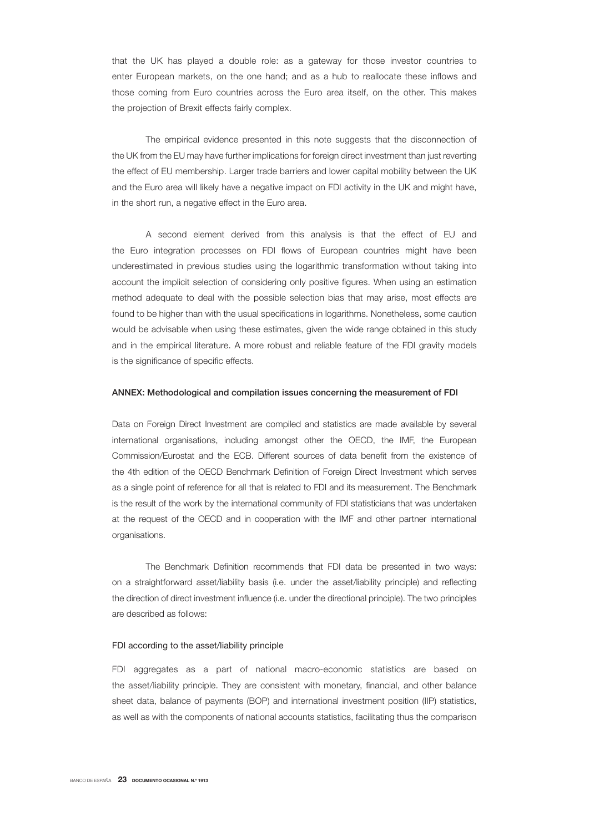that the UK has played a double role: as a gateway for those investor countries to enter European markets, on the one hand; and as a hub to reallocate these inflows and those coming from Euro countries across the Euro area itself, on the other. This makes the projection of Brexit effects fairly complex.

The empirical evidence presented in this note suggests that the disconnection of the UK from the EU may have further implications for foreign direct investment than just reverting the effect of EU membership. Larger trade barriers and lower capital mobility between the UK and the Euro area will likely have a negative impact on FDI activity in the UK and might have, in the short run, a negative effect in the Euro area.

A second element derived from this analysis is that the effect of EU and the Euro integration processes on FDI flows of European countries might have been underestimated in previous studies using the logarithmic transformation without taking into account the implicit selection of considering only positive figures. When using an estimation method adequate to deal with the possible selection bias that may arise, most effects are found to be higher than with the usual specifications in logarithms. Nonetheless, some caution would be advisable when using these estimates, given the wide range obtained in this study and in the empirical literature. A more robust and reliable feature of the FDI gravity models is the significance of specific effects.

### ANNEX: Methodological and compilation issues concerning the measurement of FDI

Data on Foreign Direct Investment are compiled and statistics are made available by several international organisations, including amongst other the OECD, the IMF, the European Commission/Eurostat and the ECB. Different sources of data benefit from the existence of the 4th edition of the OECD Benchmark Definition of Foreign Direct Investment which serves as a single point of reference for all that is related to FDI and its measurement. The Benchmark is the result of the work by the international community of FDI statisticians that was undertaken at the request of the OECD and in cooperation with the IMF and other partner international organisations.

The Benchmark Definition recommends that FDI data be presented in two ways: on a straightforward asset/liability basis (i.e. under the asset/liability principle) and reflecting the direction of direct investment influence (i.e. under the directional principle). The two principles are described as follows:

### FDI according to the asset/liability principle

FDI aggregates as a part of national macro-economic statistics are based on the asset/liability principle. They are consistent with monetary, financial, and other balance sheet data, balance of payments (BOP) and international investment position (IIP) statistics, as well as with the components of national accounts statistics, facilitating thus the comparison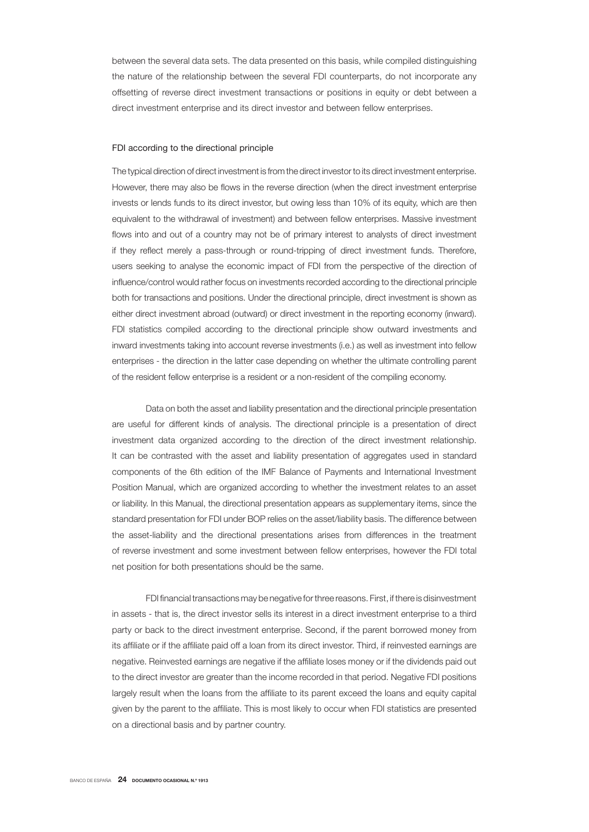between the several data sets. The data presented on this basis, while compiled distinguishing the nature of the relationship between the several FDI counterparts, do not incorporate any offsetting of reverse direct investment transactions or positions in equity or debt between a direct investment enterprise and its direct investor and between fellow enterprises.

### FDI according to the directional principle

The typical direction of direct investment is from the direct investor to its direct investment enterprise. However, there may also be flows in the reverse direction (when the direct investment enterprise invests or lends funds to its direct investor, but owing less than 10% of its equity, which are then equivalent to the withdrawal of investment) and between fellow enterprises. Massive investment flows into and out of a country may not be of primary interest to analysts of direct investment if they reflect merely a pass-through or round-tripping of direct investment funds. Therefore, users seeking to analyse the economic impact of FDI from the perspective of the direction of influence/control would rather focus on investments recorded according to the directional principle both for transactions and positions. Under the directional principle, direct investment is shown as either direct investment abroad (outward) or direct investment in the reporting economy (inward). FDI statistics compiled according to the directional principle show outward investments and inward investments taking into account reverse investments (i.e.) as well as investment into fellow enterprises - the direction in the latter case depending on whether the ultimate controlling parent of the resident fellow enterprise is a resident or a non-resident of the compiling economy.

Data on both the asset and liability presentation and the directional principle presentation are useful for different kinds of analysis. The directional principle is a presentation of direct investment data organized according to the direction of the direct investment relationship. It can be contrasted with the asset and liability presentation of aggregates used in standard components of the 6th edition of the IMF Balance of Payments and International Investment Position Manual, which are organized according to whether the investment relates to an asset or liability. In this Manual, the directional presentation appears as supplementary items, since the standard presentation for FDI under BOP relies on the asset/liability basis. The difference between the asset-liability and the directional presentations arises from differences in the treatment of reverse investment and some investment between fellow enterprises, however the FDI total net position for both presentations should be the same.

FDI financial transactions may be negative for three reasons. First, if there is disinvestment in assets - that is, the direct investor sells its interest in a direct investment enterprise to a third party or back to the direct investment enterprise. Second, if the parent borrowed money from its affiliate or if the affiliate paid off a loan from its direct investor. Third, if reinvested earnings are negative. Reinvested earnings are negative if the affiliate loses money or if the dividends paid out to the direct investor are greater than the income recorded in that period. Negative FDI positions largely result when the loans from the affiliate to its parent exceed the loans and equity capital given by the parent to the affiliate. This is most likely to occur when FDI statistics are presented on a directional basis and by partner country.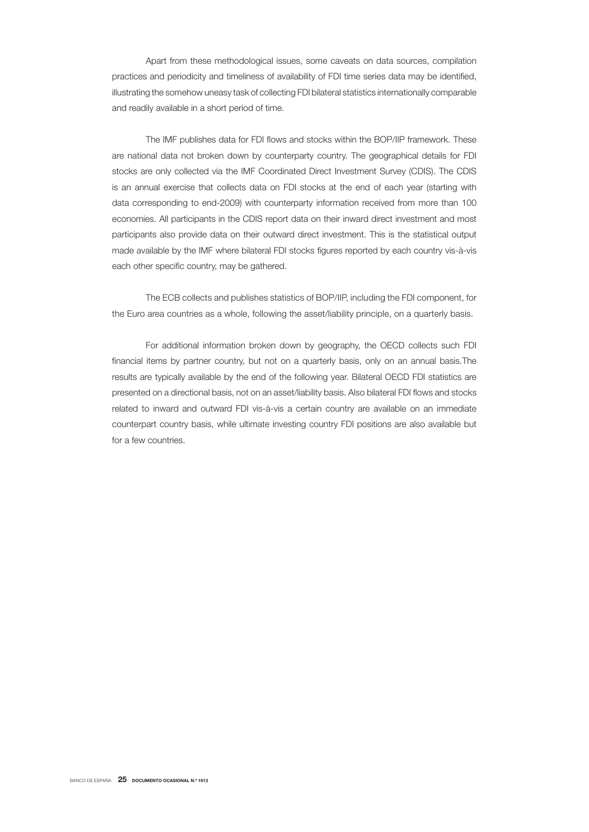Apart from these methodological issues, some caveats on data sources, compilation practices and periodicity and timeliness of availability of FDI time series data may be identified, illustrating the somehow uneasy task of collecting FDI bilateral statistics internationally comparable and readily available in a short period of time.

The IMF publishes data for FDI flows and stocks within the BOP/IIP framework. These are national data not broken down by counterparty country. The geographical details for FDI stocks are only collected via the IMF Coordinated Direct Investment Survey (CDIS). The CDIS is an annual exercise that collects data on FDI stocks at the end of each year (starting with data corresponding to end-2009) with counterparty information received from more than 100 economies. All participants in the CDIS report data on their inward direct investment and most participants also provide data on their outward direct investment. This is the statistical output made available by the IMF where bilateral FDI stocks figures reported by each country vis-à-vis each other specific country, may be gathered.

The ECB collects and publishes statistics of BOP/IIP, including the FDI component, for the Euro area countries as a whole, following the asset/liability principle, on a quarterly basis.

For additional information broken down by geography, the OECD collects such FDI financial items by partner country, but not on a quarterly basis, only on an annual basis. The results are typically available by the end of the following year. Bilateral OECD FDI statistics are presented on a directional basis, not on an asset/liability basis. Also bilateral FDI flows and stocks related to inward and outward FDI vis-à-vis a certain country are available on an immediate counterpart country basis, while ultimate investing country FDI positions are also available but for a few countries.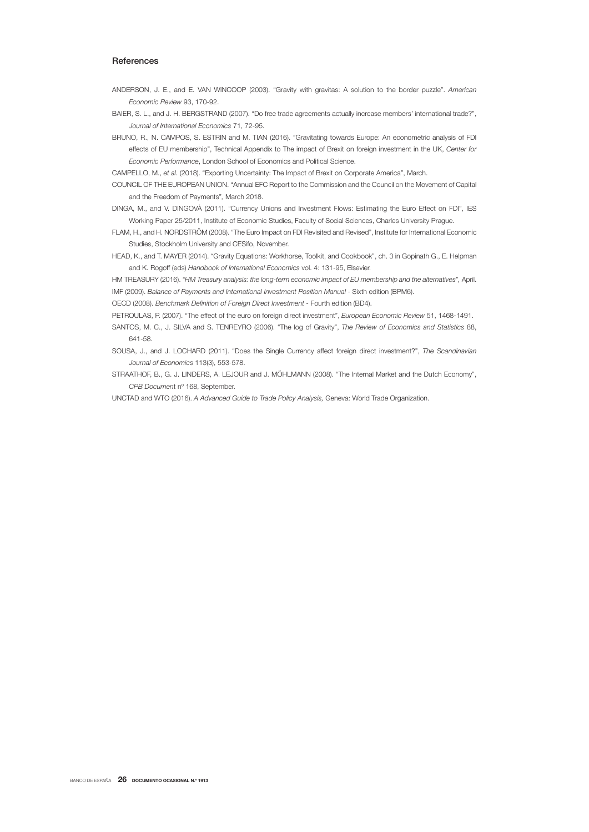### **References**

- ANDERSON, J. E., and E. VAN WINCOOP (2003). "Gravity with gravitas: A solution to the border puzzle". *American Economic Review* 93, 170-92.
- BAIER, S. L., and J. H. BERGSTRAND (2007). "Do free trade agreements actually increase members' international trade?", *Journal of International Economics* 71, 72-95.
- BRUNO, R., N. CAMPOS, S. ESTRIN and M. TIAN (2016). "Gravitating towards Europe: An econometric analysis of FDI effects of EU membership", Technical Appendix to The impact of Brexit on foreign investment in the UK, *Center for Economic Performance*, London School of Economics and Political Science.
- CAMPELLO, M., *et al.* (2018). "Exporting Uncertainty: The Impact of Brexit on Corporate America", March.
- COUNCIL OF THE EUROPEAN UNION. "Annual EFC Report to the Commission and the Council on the Movement of Capital and the Freedom of Payments"*,* March 2018.
- DINGA, M., and V. DINGOVÀ (2011). "Currency Unions and Investment Flows: Estimating the Euro Effect on FDI", IES Working Paper 25/2011, Institute of Economic Studies, Faculty of Social Sciences, Charles University Prague.
- FLAM, H., and H. NORDSTRÖM (2008). "The Euro Impact on FDI Revisited and Revised", Institute for International Economic Studies, Stockholm University and CESifo, November.
- HEAD, K., and T. MAYER (2014). "Gravity Equations: Workhorse, Toolkit, and Cookbook", ch. 3 in Gopinath G., E. Helpman and K. Rogoff (eds) *Handbook of International Economics* vol. 4: 131-95, Elsevier.
- HM TREASURY (2016). *"HM Treasury analysis: the long-term economic impact of EU membership and the alternatives"*, April. IMF (2009). *Balance of Payments and International Investment Position Manual* - Sixth edition (BPM6).

OECD (2008). *Benchmark Definition of Foreign Direct Investment* - Fourth edition (BD4).

- PETROULAS, P. (2007). "The effect of the euro on foreign direct investment", *European Economic Review* 51, 1468-1491.
- SANTOS, M. C., J. SILVA and S. TENREYRO (2006). "The log of Gravity", *The Review of Economics and Statistics* 88, 641-58.
- SOUSA, J., and J. LOCHARD (2011). "Does the Single Currency affect foreign direct investment?", *The Scandinavian Journal of Economics* 113(3), 553-578.
- STRAATHOF, B., G. J. LINDERS, A. LEJOUR and J. MÖHLMANN (2008). "The Internal Market and the Dutch Economy", *CPB Documen*t nº 168, September.
- UNCTAD and WTO (2016). *A Advanced Guide to Trade Policy Analysis,* Geneva: World Trade Organization.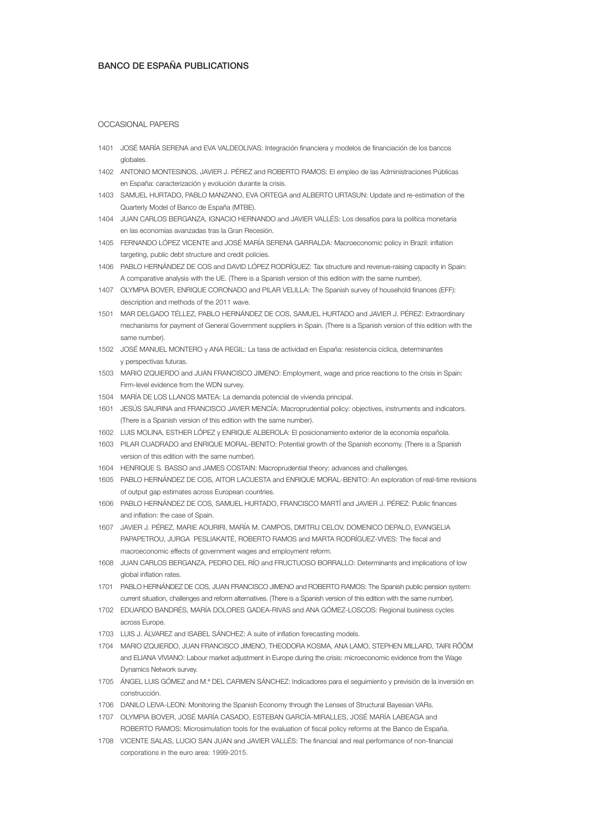### BANCO DE ESPAÑA PUBLICATIONS

### OCCASIONAL PAPERS

- 1401 JOSÉ MARÍA SERENA and EVA VALDEOLIVAS: Integración financiera y modelos de financiación de los bancos globales.
- 1402 ANTONIO MONTESINOS, JAVIER J. PÉREZ and ROBERTO RAMOS: El empleo de las Administraciones Públicas en España: caracterización y evolución durante la crisis.
- 1403 SAMUEL HURTADO, PABLO MANZANO, EVA ORTEGA and ALBERTO URTASUN: Update and re-estimation of the Quarterly Model of Banco de España (MTBE).
- 1404 JUAN CARLOS BERGANZA, IGNACIO HERNANDO and JAVIER VALLÉS: Los desafíos para la política monetaria en las economías avanzadas tras la Gran Recesión.
- 1405 FERNANDO LÓPEZ VICENTE and JOSÉ MARÍA SERENA GARRALDA: Macroeconomic policy in Brazil: inflation targeting, public debt structure and credit policies.
- 1406 PABLO HERNÁNDEZ DE COS and DAVID LÓPEZ RODRÍGUEZ: Tax structure and revenue-raising capacity in Spain: A comparative analysis with the UE. (There is a Spanish version of this edition with the same number).
- 1407 OLYMPIA BOVER, ENRIQUE CORONADO and PILAR VELILLA: The Spanish survey of household finances (EFF): description and methods of the 2011 wave.
- 1501 MAR DELGADO TÉLLEZ, PABLO HERNÁNDEZ DE COS, SAMUEL HURTADO and JAVIER J. PÉREZ: Extraordinary mechanisms for payment of General Government suppliers in Spain. (There is a Spanish version of this edition with the same number).
- 1502 JOSÉ MANUEL MONTERO y ANA REGIL: La tasa de actividad en España: resistencia cíclica, determinantes y perspectivas futuras.
- 1503 MARIO IZQUIERDO and JUAN FRANCISCO JIMENO: Employment, wage and price reactions to the crisis in Spain: Firm-level evidence from the WDN survey.
- 1504 MARÍA DE LOS LLANOS MATEA: La demanda potencial de vivienda principal.
- 1601 JESÚS SAURINA and FRANCISCO JAVIER MENCÍA: Macroprudential policy: objectives, instruments and indicators. (There is a Spanish version of this edition with the same number).
- 1602 LUIS MOLINA, ESTHER LÓPEZ y ENRIQUE ALBEROLA: El posicionamiento exterior de la economía española.
- 1603 PILAR CUADRADO and ENRIQUE MORAL-BENITO: Potential growth of the Spanish economy. (There is a Spanish version of this edition with the same number).
- 1604 HENRIQUE S. BASSO and JAMES COSTAIN: Macroprudential theory: advances and challenges.
- 1605 PABLO HERNÁNDEZ DE COS, AITOR LACUESTA and ENRIQUE MORAL-BENITO: An exploration of real-time revisions of output gap estimates across European countries.
- 1606 PABLO HERNÁNDEZ DE COS, SAMUEL HURTADO, FRANCISCO MARTÍ and JAVIER J. PÉREZ: Public finances and inflation: the case of Spain.
- 1607 JAVIER J. PÉREZ, MARIE AOURIRI, MARÍA M. CAMPOS, DMITRIJ CELOV, DOMENICO DEPALO, EVANGELIA PAPAPETROU, JURGA PESLIAKAITĖ, ROBERTO RAMOS and MARTA RODRÍGUEZ-VIVES: The fiscal and macroeconomic effects of government wages and employment reform.
- 1608 JUAN CARLOS BERGANZA, PEDRO DEL RÍO and FRUCTUOSO BORRALLO: Determinants and implications of low global inflation rates.
- 1701 PABLO HERNÁNDEZ DE COS, JUAN FRANCISCO JIMENO and ROBERTO RAMOS: The Spanish public pension system: current situation, challenges and reform alternatives. (There is a Spanish version of this edition with the same number).
- 1702 EDUARDO BANDRÉS, MARÍA DOLORES GADEA-RIVAS and ANA GÓMEZ-LOSCOS: Regional business cycles across Europe.
- 1703 LUIS J. ÁLVAREZ and ISABEL SÁNCHEZ: A suite of inflation forecasting models.
- 1704 MARIO IZQUIERDO, JUAN FRANCISCO JIMENO, THEODORA KOSMA, ANA LAMO, STEPHEN MILLARD, TAIRI RÕÕM and ELIANA VIVIANO: Labour market adjustment in Europe during the crisis: microeconomic evidence from the Wage Dynamics Network survey.
- 1705 ÁNGEL LUIS GÓMEZ and M.ª DEL CARMEN SÁNCHEZ: Indicadores para el seguimiento y previsión de la inversión en construcción.
- 1706 DANILO LEIVA-LEON: Monitoring the Spanish Economy through the Lenses of Structural Bayesian VARs.
- 1707 OLYMPIA BOVER, JOSÉ MARÍA CASADO, ESTEBAN GARCÍA-MIRALLES, JOSÉ MARÍA LABEAGA and ROBERTO RAMOS: Microsimulation tools for the evaluation of fiscal policy reforms at the Banco de España.
- 1708 VICENTE SALAS, LUCIO SAN JUAN and JAVIER VALLÉS: The financial and real performance of non-financial corporations in the euro area: 1999-2015.